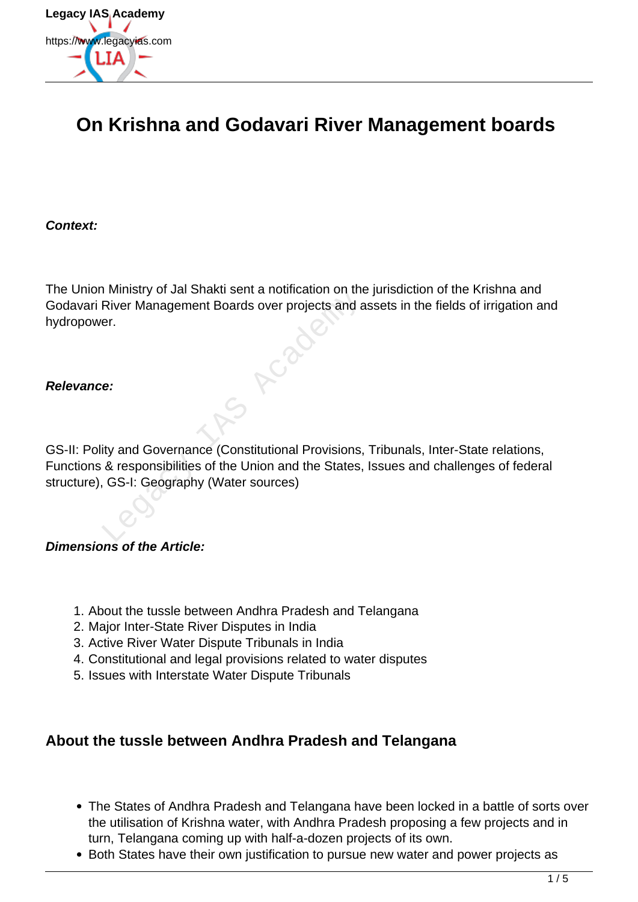

# **On Krishna and Godavari River Management boards**

**Context:**

The Union Ministry of Jal Shakti sent a notification on the jurisdiction of the Krishna and Godavari River Management Boards over projects and assets in the fields of irrigation and hydropower.

#### **Relevance:**

GS-II: Polity and Governance (Constitutional Provisions, Tribunals, Inter-State relations, Functions & responsibilities of the Union and the States, Issues and challenges of federal structure), GS-I: Geography (Water sources) Framistry of Jaffaktrisch a Holmcatten of the<br>River Management Boards over projects and a<br>er.<br>e:<br>ity and Governance (Constitutional Provisions,<br>& responsibilities of the Union and the States,<br>GS-I: Geography (Water sources

**Dimensions of the Article:**

- 1. About the tussle between Andhra Pradesh and Telangana
- 2. Major Inter-State River Disputes in India
- 3. Active River Water Dispute Tribunals in India
- 4. Constitutional and legal provisions related to water disputes
- 5. Issues with Interstate Water Dispute Tribunals

#### **About the tussle between Andhra Pradesh and Telangana**

- The States of Andhra Pradesh and Telangana have been locked in a battle of sorts over the utilisation of Krishna water, with Andhra Pradesh proposing a few projects and in turn, Telangana coming up with half-a-dozen projects of its own.
- Both States have their own justification to pursue new water and power projects as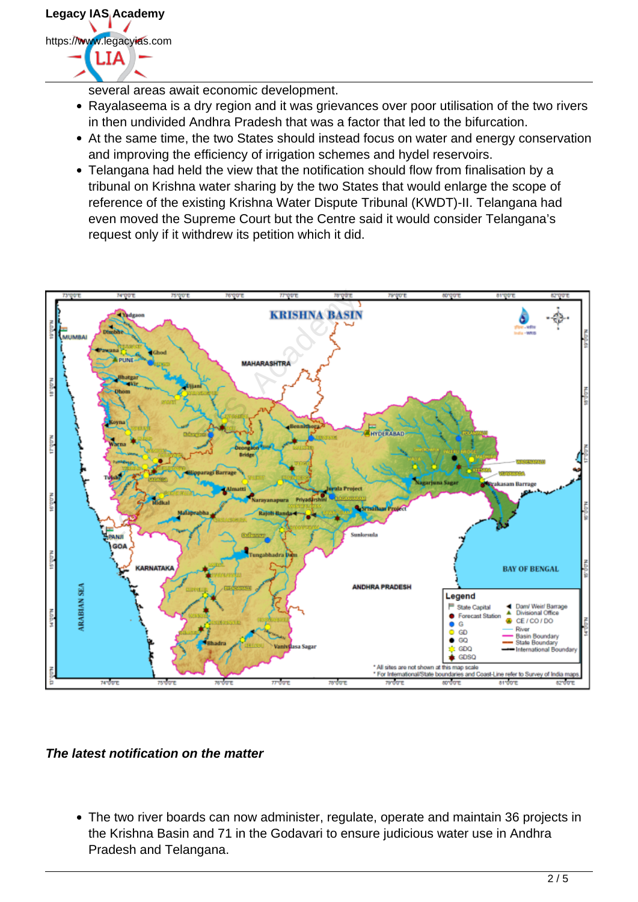

several areas await economic development.

- Rayalaseema is a dry region and it was grievances over poor utilisation of the two rivers in then undivided Andhra Pradesh that was a factor that led to the bifurcation.
- At the same time, the two States should instead focus on water and energy conservation and improving the efficiency of irrigation schemes and hydel reservoirs.
- Telangana had held the view that the notification should flow from finalisation by a tribunal on Krishna water sharing by the two States that would enlarge the scope of reference of the existing Krishna Water Dispute Tribunal (KWDT)-II. Telangana had even moved the Supreme Court but the Centre said it would consider Telangana's request only if it withdrew its petition which it did.



**The latest notification on the matter**

The two river boards can now administer, regulate, operate and maintain 36 projects in the Krishna Basin and 71 in the Godavari to ensure judicious water use in Andhra Pradesh and Telangana.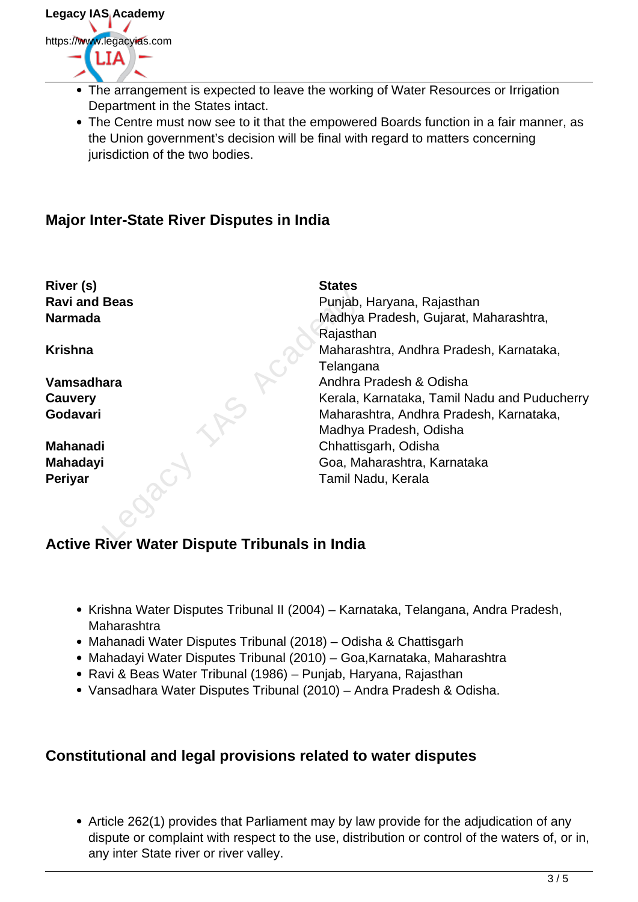

- The arrangement is expected to leave the working of Water Resources or Irrigation Department in the States intact.
- The Centre must now see to it that the empowered Boards function in a fair manner, as the Union government's decision will be final with regard to matters concerning jurisdiction of the two bodies.

### **Major Inter-State River Disputes in India**

| River (s)<br><b>Ravi and Beas</b>      | <b>States</b><br>Punjab, Haryana, Rajasthan  |
|----------------------------------------|----------------------------------------------|
| <b>Narmada</b>                         | Madhya Pradesh, Gujarat, Maharashtra,        |
|                                        | Rajasthan                                    |
| <b>Krishna</b>                         | Maharashtra, Andhra Pradesh, Karnataka,      |
|                                        | Telangana                                    |
| Vamsadhara                             | Andhra Pradesh & Odisha                      |
| Cauvery                                | Kerala, Karnataka, Tamil Nadu and Puducherry |
| Godavari                               | Maharashtra, Andhra Pradesh, Karnataka,      |
|                                        | Madhya Pradesh, Odisha                       |
| <b>Mahanadi</b>                        | Chhattisgarh, Odisha                         |
| <b>Mahadayi</b>                        | Goa, Maharashtra, Karnataka                  |
| <b>Periyar</b>                         | Tamil Nadu, Kerala                           |
|                                        |                                              |
| Divor Water Diepute Tribupale in India |                                              |

# **Active River Water Dispute Tribunals in India**

- Krishna Water Disputes Tribunal II (2004) Karnataka, Telangana, Andra Pradesh, Maharashtra
- Mahanadi Water Disputes Tribunal (2018) Odisha & Chattisgarh
- Mahadayi Water Disputes Tribunal (2010) Goa,Karnataka, Maharashtra
- Ravi & Beas Water Tribunal (1986) Punjab, Haryana, Rajasthan
- Vansadhara Water Disputes Tribunal (2010) Andra Pradesh & Odisha.

#### **Constitutional and legal provisions related to water disputes**

• Article 262(1) provides that Parliament may by law provide for the adjudication of any dispute or complaint with respect to the use, distribution or control of the waters of, or in, any inter State river or river valley.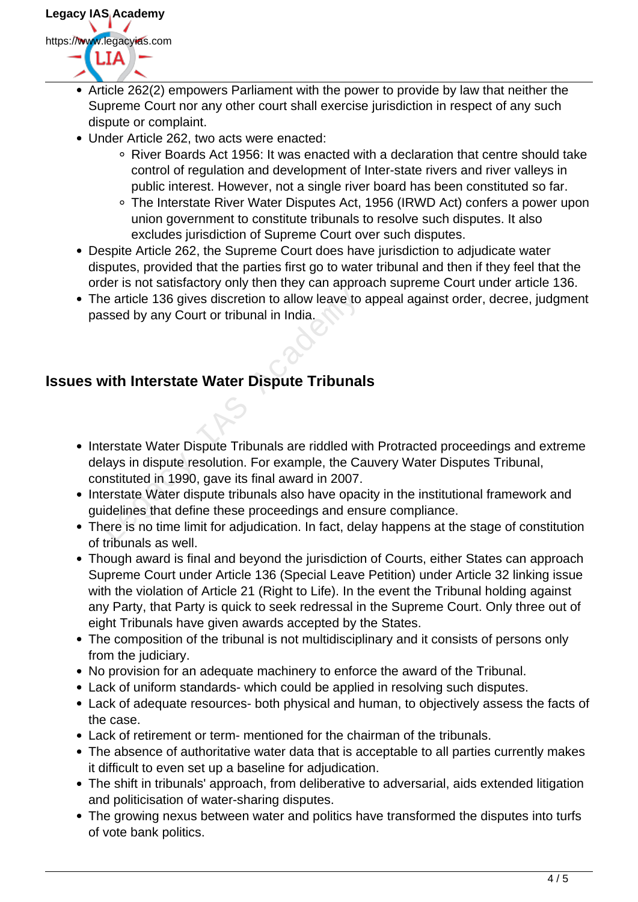

- Article 262(2) empowers Parliament with the power to provide by law that neither the Supreme Court nor any other court shall exercise jurisdiction in respect of any such dispute or complaint.
- Under Article 262, two acts were enacted:
	- River Boards Act 1956: It was enacted with a declaration that centre should take control of regulation and development of Inter-state rivers and river valleys in public interest. However, not a single river board has been constituted so far.
	- The Interstate River Water Disputes Act, 1956 (IRWD Act) confers a power upon union government to constitute tribunals to resolve such disputes. It also excludes jurisdiction of Supreme Court over such disputes.
- Despite Article 262, the Supreme Court does have jurisdiction to adjudicate water disputes, provided that the parties first go to water tribunal and then if they feel that the order is not satisfactory only then they can approach supreme Court under article 136.
- The article 136 gives discretion to allow leave to appeal against order, decree, judgment passed by any Court or tribunal in India.

# **Issues with Interstate Water Dispute Tribunals**

- Interstate Water Dispute Tribunals are riddled with Protracted proceedings and extreme delays in dispute resolution. For example, the Cauvery Water Disputes Tribunal, constituted in 1990, gave its final award in 2007. The article 136 gives discretion to allow leave to<br>
ssed by any Court or tribunal in India.<br>
With Interstate Water Dispute Tribunal<br>
Legacy Court of tribunals are riddled with<br>
Legacy in dispute resolution. For example, th
- Interstate Water dispute tribunals also have opacity in the institutional framework and guidelines that define these proceedings and ensure compliance.
- There is no time limit for adjudication. In fact, delay happens at the stage of constitution of tribunals as well.
- Though award is final and beyond the jurisdiction of Courts, either States can approach Supreme Court under Article 136 (Special Leave Petition) under Article 32 linking issue with the violation of Article 21 (Right to Life). In the event the Tribunal holding against any Party, that Party is quick to seek redressal in the Supreme Court. Only three out of eight Tribunals have given awards accepted by the States.
- The composition of the tribunal is not multidisciplinary and it consists of persons only from the judiciary.
- No provision for an adequate machinery to enforce the award of the Tribunal.
- Lack of uniform standards- which could be applied in resolving such disputes.
- Lack of adequate resources- both physical and human, to objectively assess the facts of the case.
- Lack of retirement or term- mentioned for the chairman of the tribunals.
- The absence of authoritative water data that is acceptable to all parties currently makes it difficult to even set up a baseline for adjudication.
- The shift in tribunals' approach, from deliberative to adversarial, aids extended litigation and politicisation of water-sharing disputes.
- The growing nexus between water and politics have transformed the disputes into turfs of vote bank politics.